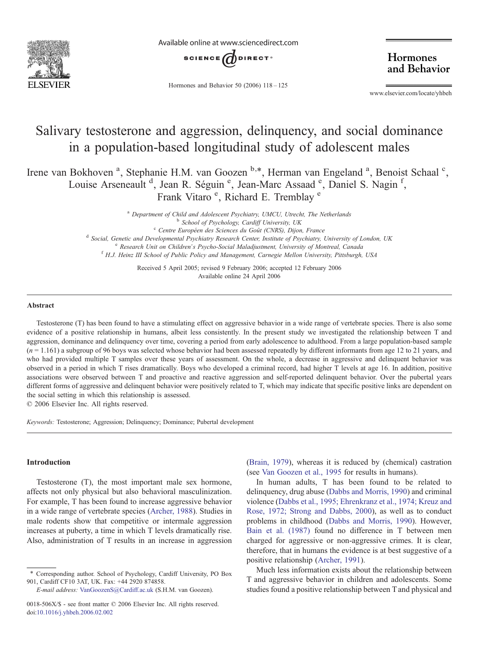

Available online at www.sciencedirect.com



Hormones and Behavior 50 (2006) 118–125

Hormones and Behavior

www.elsevier.com/locate/yhbeh

# Salivary testosterone and aggression, delinquency, and social dominance in a population-based longitudinal study of adolescent males

Irene van Bokhoven<sup>a</sup>, Stephanie H.M. van Goozen b,\*, Herman van Engeland<sup>a</sup>, Benoist Schaal<sup>c</sup>, Louise Arseneault<sup>d</sup>, Jean R. Séguin<sup>e</sup>, Jean-Marc Assaad<sup>e</sup>, Daniel S. Nagin<sup>f</sup>, Frank Vitaro<sup>e</sup>, Richard E. Tremblay<sup>e</sup>

 $a$  Department of Child and Adolescent Psychiatry, UMCU, Utrecht, The Netherlands<br> $b$  School of Psychology, Cardiff University, UK

<sup>c</sup> Centre Européen des Sciences du Goût (CNRS), Dijon, France<br><sup>d</sup> Social, Genetic and Developmental Psychiatry Research Center, Institute of Psychiatry, University of London, UK

<sup>e</sup> Research Unit on Children's Psycho-Social Maladjustment, University of Montreal, Canada f H.J. Heinz III School of Public Policy and Management, Carnegie Mellon University, Pittsburgh, USA

Received 5 April 2005; revised 9 February 2006; accepted 12 February 2006 Available online 24 April 2006

## Abstract

Testosterone (T) has been found to have a stimulating effect on aggressive behavior in a wide range of vertebrate species. There is also some evidence of a positive relationship in humans, albeit less consistently. In the present study we investigated the relationship between T and aggression, dominance and delinquency over time, covering a period from early adolescence to adulthood. From a large population-based sample  $(n = 1.161)$  a subgroup of 96 boys was selected whose behavior had been assessed repeatedly by different informants from age 12 to 21 years, and who had provided multiple T samples over these years of assessment. On the whole, a decrease in aggressive and delinquent behavior was observed in a period in which T rises dramatically. Boys who developed a criminal record, had higher T levels at age 16. In addition, positive associations were observed between T and proactive and reactive aggression and self-reported delinquent behavior. Over the pubertal years different forms of aggressive and delinquent behavior were positively related to T, which may indicate that specific positive links are dependent on the social setting in which this relationship is assessed.

© 2006 Elsevier Inc. All rights reserved.

Keywords: Testosterone; Aggression; Delinquency; Dominance; Pubertal development

## Introduction

Testosterone (T), the most important male sex hormone, affects not only physical but also behavioral masculinization. For example, T has been found to increase aggressive behavior in a wide range of vertebrate species ([Archer, 1988\)](#page-6-0). Studies in male rodents show that competitive or intermale aggression increases at puberty, a time in which T levels dramatically rise. Also, administration of T results in an increase in aggression

([Brain, 1979](#page-6-0)), whereas it is reduced by (chemical) castration (see [Van Goozen et al., 1995](#page-7-0) for results in humans).

In human adults, T has been found to be related to delinquency, drug abuse ([Dabbs and Morris, 1990](#page-6-0)) and criminal violence ([Dabbs et al., 1995; Ehrenkranz et al., 1974; Kreuz and](#page-6-0) [Rose, 1972; Strong and Dabbs, 2000\)](#page-6-0), as well as to conduct problems in childhood [\(Dabbs and Morris, 1990](#page-6-0)). However, [Bain et al. \(1987\)](#page-6-0) found no difference in T between men charged for aggressive or non-aggressive crimes. It is clear, therefore, that in humans the evidence is at best suggestive of a positive relationship ([Archer, 1991](#page-6-0)).

Much less information exists about the relationship between T and aggressive behavior in children and adolescents. Some studies found a positive relationship between T and physical and

<sup>⁎</sup> Corresponding author. School of Psychology, Cardiff University, PO Box 901, Cardiff CF10 3AT, UK. Fax: +44 2920 874858.

E-mail address: [VanGoozenS@Cardiff.ac.uk](mailto:VanGoozenS@Cardiff.ac.uk) (S.H.M. van Goozen).

<sup>0018-506</sup>X/\$ - see front matter © 2006 Elsevier Inc. All rights reserved. doi[:10.1016/j.yhbeh.2006.02.002](http://dx.doi.org/10.1016/j.yhbeh.2006.02.002)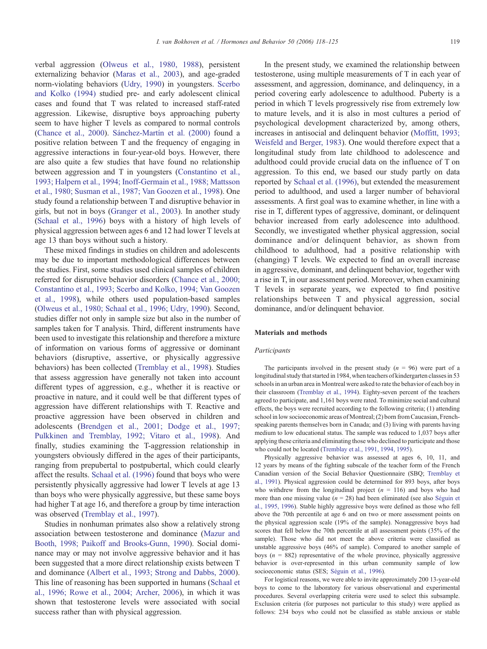verbal aggression ([Olweus et al., 1980, 1988](#page-6-0)), persistent externalizing behavior ([Maras et al., 2003\)](#page-6-0), and age-graded norm-violating behaviors [\(Udry, 1990\)](#page-7-0) in youngsters. [Scerbo](#page-6-0) [and Kolko \(1994\)](#page-6-0) studied pre- and early adolescent clinical cases and found that T was related to increased staff-rated aggression. Likewise, disruptive boys approaching puberty seem to have higher T levels as compared to normal controls ([Chance et al., 2000\)](#page-6-0). [Sánchez-Martín et al. \(2000\)](#page-6-0) found a positive relation between T and the frequency of engaging in aggressive interactions in four-year-old boys. However, there are also quite a few studies that have found no relationship between aggression and T in youngsters ([Constantino et al.,](#page-6-0) [1993; Halpern et al., 1994; Inoff-Germain et al., 1988; Mattsson](#page-6-0) [et al., 1980; Susman et al., 1987; Van Goozen et al., 1998\)](#page-6-0). One study found a relationship between T and disruptive behavior in girls, but not in boys ([Granger et al., 2003\)](#page-6-0). In another study ([Schaal et al., 1996\)](#page-7-0) boys with a history of high levels of physical aggression between ages 6 and 12 had lower T levels at age 13 than boys without such a history.

These mixed findings in studies on children and adolescents may be due to important methodological differences between the studies. First, some studies used clinical samples of children referred for disruptive behavior disorders [\(Chance et al., 2000;](#page-6-0) [Constantino et al., 1993; Scerbo and Kolko, 1994; Van Goozen](#page-6-0) [et al., 1998\)](#page-6-0), while others used population-based samples ([Olweus et al., 1980; Schaal et al., 1996; Udry, 1990](#page-6-0)). Second, studies differ not only in sample size but also in the number of samples taken for T analysis. Third, different instruments have been used to investigate this relationship and therefore a mixture of information on various forms of aggressive or dominant behaviors (disruptive, assertive, or physically aggressive behaviors) has been collected [\(Tremblay et al., 1998](#page-7-0)). Studies that assess aggression have generally not taken into account different types of aggression, e.g., whether it is reactive or proactive in nature, and it could well be that different types of aggression have different relationships with T. Reactive and proactive aggression have been observed in children and adolescents [\(Brendgen et al., 2001; Dodge et al., 1997;](#page-6-0) [Pulkkinen and Tremblay, 1992; Vitaro et al., 1998\)](#page-6-0). And finally, studies examining the T-aggression relationship in youngsters obviously differed in the ages of their participants, ranging from prepubertal to postpubertal, which could clearly affect the results. [Schaal et al. \(1996\)](#page-7-0) found that boys who were persistently physically aggressive had lower T levels at age 13 than boys who were physically aggressive, but these same boys had higher T at age 16, and therefore a group by time interaction was observed ([Tremblay et al., 1997](#page-7-0)).

Studies in nonhuman primates also show a relatively strong association between testosterone and dominance [\(Mazur and](#page-6-0) [Booth, 1998; Paikoff and Brooks-Gunn, 1990\)](#page-6-0). Social dominance may or may not involve aggressive behavior and it has been suggested that a more direct relationship exists between T and dominance ([Albert et al., 1993; Strong and Dabbs, 2000\)](#page-6-0). This line of reasoning has been supported in humans ([Schaal et](#page-7-0) [al., 1996; Rowe et al., 2004; Archer, 2006](#page-7-0)), in which it was shown that testosterone levels were associated with social success rather than with physical aggression.

In the present study, we examined the relationship between testosterone, using multiple measurements of T in each year of assessment, and aggression, dominance, and delinquency, in a period covering early adolescence to adulthood. Puberty is a period in which T levels progressively rise from extremely low to mature levels, and it is also in most cultures a period of psychological development characterized by, among others, increases in antisocial and delinquent behavior ([Moffitt, 1993;](#page-6-0) [Weisfeld and Berger, 1983](#page-6-0)). One would therefore expect that a longitudinal study from late childhood to adolescence and adulthood could provide crucial data on the influence of T on aggression. To this end, we based our study partly on data reported by [Schaal et al. \(1996\),](#page-7-0) but extended the measurement period to adulthood, and used a larger number of behavioral assessments. A first goal was to examine whether, in line with a rise in T, different types of aggressive, dominant, or delinquent behavior increased from early adolescence into adulthood. Secondly, we investigated whether physical aggression, social dominance and/or delinquent behavior, as shown from childhood to adulthood, had a positive relationship with (changing) T levels. We expected to find an overall increase in aggressive, dominant, and delinquent behavior, together with a rise in T, in our assessment period. Moreover, when examining T levels in separate years, we expected to find positive relationships between T and physical aggression, social dominance, and/or delinquent behavior.

## Materials and methods

## Participants

The participants involved in the present study  $(n = 96)$  were part of a longitudinal study that started in 1984, when teachers of kindergarten classes in 53 schools in an urban area in Montreal were asked to rate the behavior of each boy in their classroom [\(Tremblay et al., 1994\)](#page-7-0). Eighty-seven percent of the teachers agreed to participate, and 1,161 boys were rated. To minimize social and cultural effects, the boys were recruited according to the following criteria; (1) attending school in low socioeconomic areas of Montreal; (2) born from Caucasian, Frenchspeaking parents themselves born in Canada; and (3) living with parents having medium to low educational status. The sample was reduced to 1,037 boys after applying these criteria and eliminating those who declined to participate and those who could not be located ([Tremblay et al., 1991, 1994, 1995](#page-7-0)).

Physically aggressive behavior was assessed at ages 6, 10, 11, and 12 years by means of the fighting subscale of the teacher form of the French Canadian version of the Social Behavior Questionnaire (SBQ; [Tremblay et](#page-7-0) [al., 1991](#page-7-0)). Physical aggression could be determined for 893 boys, after boys who withdrew from the longitudinal project  $(n = 116)$  and boys who had more than one missing value ( $n = 28$ ) had been eliminated (see also [Séguin et](#page-7-0) [al., 1995, 1996\)](#page-7-0). Stable highly aggressive boys were defined as those who fell above the 70th percentile at age 6 and on two or more assessment points on the physical aggression scale (19% of the sample). Nonaggressive boys had scores that fell below the 70th percentile at all assessment points (35% of the sample). Those who did not meet the above criteria were classified as unstable aggressive boys (46% of sample). Compared to another sample of boys ( $n = 882$ ) representative of the whole province, physically aggressive behavior is over-represented in this urban community sample of low socioeconomic status (SES; [Séguin et al., 1996](#page-7-0)).

For logistical reasons, we were able to invite approximately 200 13-year-old boys to come to the laboratory for various observational and experimental procedures. Several overlapping criteria were used to select this subsample. Exclusion criteria (for purposes not particular to this study) were applied as follows: 234 boys who could not be classified as stable anxious or stable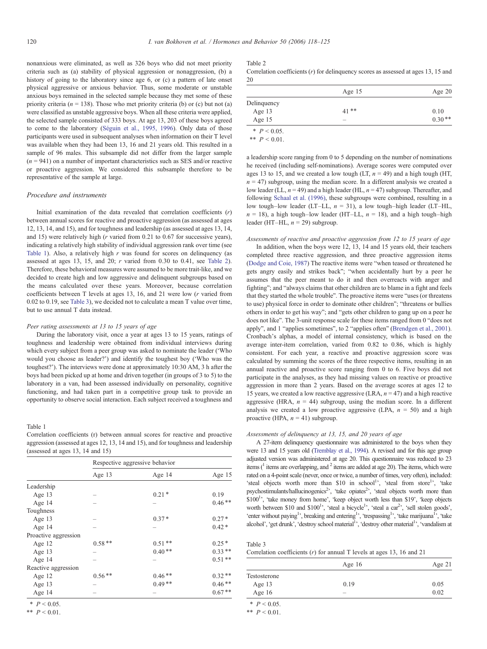nonanxious were eliminated, as well as 326 boys who did not meet priority criteria such as (a) stability of physical aggression or nonaggression, (b) a history of going to the laboratory since age 6, or (c) a pattern of late onset physical aggressive or anxious behavior. Thus, some moderate or unstable anxious boys remained in the selected sample because they met some of these priority criteria ( $n = 138$ ). Those who met priority criteria (b) or (c) but not (a) were classified as unstable aggressive boys. When all these criteria were applied, the selected sample consisted of 333 boys. At age 13, 203 of these boys agreed to come to the laboratory ([Séguin et al., 1995, 1996\)](#page-7-0). Only data of those participants were used in subsequent analyses when information on their T level was available when they had been 13, 16 and 21 years old. This resulted in a sample of 96 males. This subsample did not differ from the larger sample  $(n = 941)$  on a number of important characteristics such as SES and/or reactive or proactive aggression. We considered this subsample therefore to be representative of the sample at large.

## Procedure and instruments

Initial examination of the data revealed that correlation coefficients  $(r)$ between annual scores for reactive and proactive aggression (as assessed at ages 12, 13, 14, and 15), and for toughness and leadership (as assessed at ages 13, 14, and 15) were relatively high (r varied from 0.21 to 0.67 for successive years), indicating a relatively high stability of individual aggression rank over time (see Table 1). Also, a relatively high  $r$  was found for scores on delinquency (as assessed at ages 13, 15, and 20; r varied from 0.30 to 0.41, see Table 2). Therefore, these behavioral measures were assumed to be more trait-like, and we decided to create high and low aggressive and delinquent subgroups based on the means calculated over these years. Moreover, because correlation coefficients between T levels at ages 13, 16, and 21 were low (r varied from 0.02 to 0.19, see Table 3), we decided not to calculate a mean T value over time, but to use annual T data instead.

## Peer rating assessments at 13 to 15 years of age

During the laboratory visit, once a year at ages 13 to 15 years, ratings of toughness and leadership were obtained from individual interviews during which every subject from a peer group was asked to nominate the leader ('Who would you choose as leader?') and identify the toughest boy ('Who was the toughest?'). The interviews were done at approximately 10:30 AM, 3 h after the boys had been picked up at home and driven together (in groups of 3 to 5) to the laboratory in a van, had been assessed individually on personality, cognitive functioning, and had taken part in a competitive group task to provide an opportunity to observe social interaction. Each subject received a toughness and

## Table 1

Correlation coefficients (r) between annual scores for reactive and proactive aggression (assessed at ages 12, 13, 14 and 15), and for toughness and leadership (assessed at ages 13, 14 and 15)

|                      | Respective aggressive behavior |          |          |  |
|----------------------|--------------------------------|----------|----------|--|
|                      | Age $13$                       | Age 14   | Age $15$ |  |
| Leadership           |                                |          |          |  |
| Age $13$             |                                | $0.21*$  | 0.19     |  |
| Age $14$             |                                |          | $0.46**$ |  |
| Toughness            |                                |          |          |  |
| Age $13$             |                                | $0.37*$  | $0.27*$  |  |
| Age 14               |                                |          | $0.42*$  |  |
| Proactive aggression |                                |          |          |  |
| Age $12$             | $0.58**$                       | $0.51**$ | $0.25*$  |  |
| Age $13$             |                                | $0.40**$ | $0.33**$ |  |
| Age 14               |                                |          | $0.51**$ |  |
| Reactive aggression  |                                |          |          |  |
| Age $12$             | $0.56**$                       | $0.46**$ | $0.32**$ |  |
| Age $13$             |                                | $0.49**$ | $0.46**$ |  |
| Age $14$             |                                |          | $0.67**$ |  |

 $*$   $P < 0.05$ .

\*\*  $P < 0.01$ .

## Table 2

Correlation coefficients  $(r)$  for delinquency scores as assessed at ages 13, 15 and 20

|                | Age $15$                 | Age $20$ |  |
|----------------|--------------------------|----------|--|
| Delinquency    |                          |          |  |
| Age $13$       | $41**$                   | 0.10     |  |
| Age $15$       | $\overline{\phantom{a}}$ | $0.30**$ |  |
| * $P < 0.05$ . |                          |          |  |

\*\*  $P < 0.01$ .

a leadership score ranging from 0 to 5 depending on the number of nominations he received (including self-nominations). Average scores were computed over ages 13 to 15, and we created a low tough (LT,  $n = 49$ ) and a high tough (HT,  $n = 47$ ) subgroup, using the median score. In a different analysis we created a low leader (LL,  $n = 49$ ) and a high leader (HL,  $n = 47$ ) subgroup. Thereafter, and following [Schaal et al. \(1996\)](#page-7-0), these subgroups were combined, resulting in a low tough–low leader (LT–LL,  $n = 31$ ), a low tough–high leader (LT–HL,  $n = 18$ ), a high tough–low leader (HT–LL,  $n = 18$ ), and a high tough–high leader (HT–HL,  $n = 29$ ) subgroup.

## Assessments of reactive and proactive aggression from 12 to 15 years of age

In addition, when the boys were 12, 13, 14 and 15 years old, their teachers completed three reactive aggression, and three proactive aggression items [\(Dodge and Coie, 1987\)](#page-6-0) The reactive items were "when teased or threatened he gets angry easily and strikes back"; "when accidentally hurt by a peer he assumes that the peer meant to do it and then overreacts with anger and fighting"; and "always claims that other children are to blame in a fight and feels that they started the whole trouble". The proactive items were "uses (or threatens to use) physical force in order to dominate other children"; "threatens or bullies others in order to get his way"; and "gets other children to gang up on a peer he does not like". The 3-unit response scale for these items ranged from 0 "does not apply", and 1 "applies sometimes", to 2 "applies often" [\(Brendgen et al., 2001](#page-6-0)). Cronbach's alphas, a model of internal consistency, which is based on the average inter-item correlation, varied from 0.82 to 0.86, which is highly consistent. For each year, a reactive and proactive aggression score was calculated by summing the scores of the three respective items, resulting in an annual reactive and proactive score ranging from 0 to 6. Five boys did not participate in the analyses, as they had missing values on reactive or proactive aggression in more than 2 years. Based on the average scores at ages 12 to 15 years, we created a low reactive aggressive (LRA,  $n = 47$ ) and a high reactive aggressive (HRA,  $n = 44$ ) subgroup, using the median score. In a different analysis we created a low proactive aggressive (LPA,  $n = 50$ ) and a high proactive (HPA,  $n = 41$ ) subgroup.

#### Assessments of delinquency at 13, 15, and 20 years of age

A 27-item delinquency questionnaire was administered to the boys when they were 13 and 15 years old ([Tremblay et al., 1994\)](#page-7-0). A revised and for this age group adjusted version was administered at age 20. This questionnaire was reduced to 23 items  $(1)$  items are overlapping, and  $(2)$  items are added at age 20). The items, which were rated on a 4-point scale (never, once or twice, a number of times, very often), included: 'steal objects worth more than \$10 in school<sup>1</sup>', 'steal from store<sup>1</sup>', 'take psychostimulants/hallucinogenics<sup>2</sup>, 'take opiates<sup>2</sup>, 'steal objects worth more than \$100<sup>1</sup>', 'take money from home', 'keep object worth less than \$19', 'keep objects worth between \$10 and \$100<sup>1</sup>', 'steal a bicycle<sup>1</sup>', 'steal a car<sup>2</sup>', 'sell stolen goods', 'enter without paying<sup>1</sup>', breaking and entering<sup>1</sup>', 'trespassing<sup>1</sup>', 'take marijuana<sup>1</sup>', 'take alcohol', 'get drunk', 'destroy school material<sup>1</sup>', 'destroy other material<sup>1</sup>', 'vandalism at

| Table 3                                                                  |  |
|--------------------------------------------------------------------------|--|
| Correlation coefficients $(r)$ for annual T levels at ages 13, 16 and 21 |  |

|              | Age $16$                 | Age 21 |  |
|--------------|--------------------------|--------|--|
| Testosterone |                          |        |  |
| Age 13       | 0.19                     | 0.05   |  |
| Age $16$     | $\overline{\phantom{a}}$ | 0.02   |  |

 $*$   $P < 0.05$ .

\*\*  $P < 0.01$ .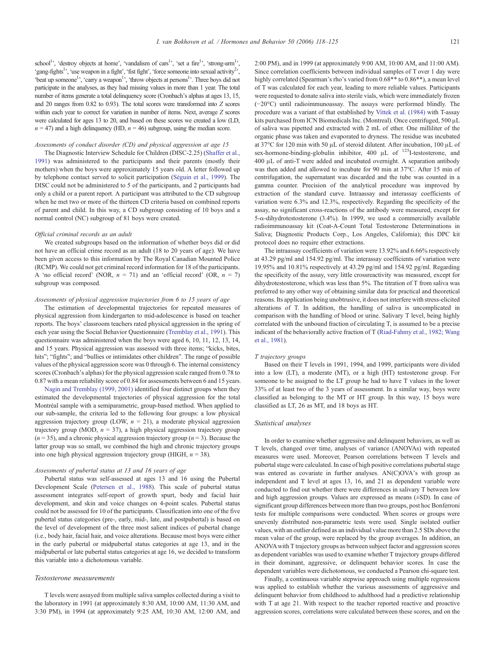school<sup>1</sup>', 'destroy objects at home', 'vandalism of cars<sup>1</sup>', 'set a fire<sup>1</sup>', 'strong-arm<sup>1</sup>', 'gang-fights<sup>1</sup>', 'use weapon in a fight', 'fist fight', 'force someone into sexual activity<sup>2</sup>', 'beat up someone<sup>1</sup>', 'carry a weapon<sup>1</sup>', 'throw objects at persons<sup>1</sup>'. Three boys did not participate in the analyses, as they had missing values in more than 1 year. The total number of items generate a total delinquency score (Cronbach's alphas at ages 13, 15, and 20 ranges from 0.82 to 0.93). The total scores were transformed into Z scores within each year to correct for variation in number of items. Next, average Z scores were calculated for ages 13 to 20, and based on these scores we created a low (LD,  $n = 47$ ) and a high delinquency (HD,  $n = 46$ ) subgroup, using the median score.

## Assessments of conduct disorder (CD) and physical aggression at age 15

The Diagnostic Interview Schedule for Children (DISC-2.25) ([Shaffer et al.,](#page-7-0) [1991](#page-7-0)) was administered to the participants and their parents (mostly their mothers) when the boys were approximately 15 years old. A letter followed up by telephone contact served to solicit participation [\(Séguin et al., 1999\)](#page-7-0). The DISC could not be administered to 5 of the participants, and 2 participants had only a child or a parent report. A participant was attributed to the CD subgroup when he met two or more of the thirteen CD criteria based on combined reports of parent and child. In this way, a CD subgroup consisting of 10 boys and a normal control (NC) subgroup of 81 boys were created.

### Official criminal records as an adult

We created subgroups based on the information of whether boys did or did not have an official crime record as an adult (18 to 20 years of age). We have been given access to this information by The Royal Canadian Mounted Police (RCMP). We could not get criminal record information for 18 of the participants. A 'no official record' (NOR,  $n = 71$ ) and an 'official record' (OR,  $n = 7$ ) subgroup was composed.

## Assessments of physical aggression trajectories from 6 to 15 years of age

The estimation of developmental trajectories for repeated measures of physical aggression from kindergarten to mid-adolescence is based on teacher reports. The boys' classroom teachers rated physical aggression in the spring of each year using the Social Behavior Questionnaire ([Tremblay et al., 1991](#page-7-0)). This questionnaire was administered when the boys were aged 6, 10, 11, 12, 13, 14, and 15 years. Physical aggression was assessed with three items; "kicks, bites, hits"; "fights"; and "bullies or intimidates other children". The range of possible values of the physical aggression score was 0 through 6. The internal consistency scores (Cronbach's alphas) for the physical aggression scale ranged from 0.78 to 0.87 with a mean reliability score of 0.84 for assessments between 6 and 15 years.

[Nagin and Tremblay \(1999, 2001\)](#page-6-0) identified four distinct groups when they estimated the developmental trajectories of physical aggression for the total Montréal sample with a semiparametric, group-based method. When applied to our sub-sample, the criteria led to the following four groups: a low physical aggression trajectory group (LOW,  $n = 21$ ), a moderate physical aggression trajectory group (MOD,  $n = 37$ ), a high physical aggression trajectory group  $(n = 35)$ , and a chronic physical aggression trajectory group  $(n = 3)$ . Because the latter group was so small, we combined the high and chronic trajectory groups into one high physical aggression trajectory group (HIGH,  $n = 38$ ).

# Assessments of pubertal status at 13 and 16 years of age

Pubertal status was self-assessed at ages 13 and 16 using the Pubertal Development Scale ([Petersen et al., 1988\)](#page-6-0). This scale of pubertal status assessment integrates self-report of growth spurt, body and facial hair development, and skin and voice changes on 4-point scales. Pubertal status could not be assessed for 10 of the participants. Classification into one of the five pubertal status categories (pre-, early, mid-, late, and postpubertal) is based on the level of development of the three most salient indices of pubertal change (i.e., body hair, facial hair, and voice alterations. Because most boys were either in the early pubertal or midpubertal status categories at age 13, and in the midpubertal or late pubertal status categories at age 16, we decided to transform this variable into a dichotomous variable.

### Testosterone measurements

T levels were assayed from multiple saliva samples collected during a visit to the laboratory in 1991 (at approximately 8:30 AM, 10:00 AM, 11:30 AM, and 3:30 PM), in 1994 (at approximately 9:25 AM, 10:30 AM, 12:00 AM, and 2:00 PM), and in 1999 (at approximately 9:00 AM, 10:00 AM, and 11:00 AM). Since correlation coefficients between individual samples of T over 1 day were highly correlated (Spearman's rho's varied from  $0.68**$  to  $0.86**$ ), a mean level of T was calculated for each year, leading to more reliable values. Participants were requested to donate saliva into sterile vials, which were immediately frozen (−20°C) until radioimmunoassay. The assays were performed blindly. The procedure was a variant of that established by [Vittek et al. \(1984\)](#page-7-0) with T-assay kits purchased from ICN Biomedicals Inc. (Montreal). Once centrifuged, 500 μL of saliva was pipetted and extracted with 2 mL of ether. One milliliter of the organic phase was taken and evaporated to dryness. The residue was incubated at 37°C for 120 min with 50 μL of steroid dilutent. After incubation, 100 μL of sex-hormone-binding-globulin inhibitor, 400 μL of 125I-testosterone, and 400 μL of anti-T were added and incubated overnight. A separation antibody was then added and allowed to incubate for 90 min at 37°C. After 15 min of centrifugation, the supernatant was discarded and the tube was counted in a gamma counter. Precision of the analytical procedure was improved by extraction of the standard curve. Intraassay and interassay coefficients of variation were 6.3% and 12.3%, respectively. Regarding the specificity of the assay, no significant cross-reactions of the antibody were measured, except for 5-α-dihydrotestosterone (3.4%). In 1999, we used a commercially available radioimmunoassay kit (Coat-A-Count Total Testosterone Determinations in Saliva; Diagnostic Products Corp., Los Angeles, California); this DPC kit protocol does no require ether extractions.

The intraassay coefficients of variation were 13.92% and 6.66% respectively at 43.29 pg/ml and 154.92 pg/ml. The interassay coefficients of variation were 19.95% and 10.81% respectively at 43.29 pg/ml and 154.92 pg/ml. Regarding the specificity of the assay, very little crossreactivity was measured, except for dihydrotestosterone, which was less than 5%. The titration of T from saliva was preferred to any other way of obtaining similar data for practical and theoretical reasons. Its application being unobtrusive, it does not interfere with stress-elicited alterations of T. In addition, the handling of saliva is uncomplicated in comparison with the handling of blood or urine. Salivary T level, being highly correlated with the unbound fraction of circulating T, is assumed to be a precise indicant of the behaviorally active fraction of T [\(Riad-Fahmy et al., 1982; Wang](#page-6-0) [et al., 1981\)](#page-6-0).

#### T trajectory groups

Based on their T levels in 1991, 1994, and 1999, participants were divided into a low (LT), a moderate (MT), or a high (HT) testosterone group. For someone to be assigned to the LT group he had to have T values in the lower 33% of at least two of the 3 years of assessment. In a similar way, boys were classified as belonging to the MT or HT group. In this way, 15 boys were classified as LT, 26 as MT, and 18 boys as HT.

## Statistical analyses

In order to examine whether aggressive and delinquent behaviors, as well as T levels, changed over time, analyses of variance (ANOVAs) with repeated measures were used. Moreover, Pearson correlations between T levels and pubertal stage were calculated. In case of high positive correlations pubertal stage was entered as covariate in further analyses. AN(C)OVA's with group as independent and T level at ages 13, 16, and 21 as dependent variable were conducted to find out whether there were differences in salivary T between low and high aggression groups. Values are expressed as means (±SD). In case of significant group differences between more than two groups, post hoc Bonferroni tests for multiple comparisons were conducted. When scores or groups were unevenly distributed non-parametric tests were used. Single isolated outlier values, with an outlier defined as an individual value more than 2.5 SDs above the mean value of the group, were replaced by the group averages. In addition, an ANOVAwith T trajectory groups as between subject factor and aggression scores as dependent variables was used to examine whether T trajectory groups differed in their dominant, aggressive, or delinquent behavior scores. In case the dependent variables were dichotomous, we conducted a Pearson chi-square test.

Finally, a continuous variable stepwise approach using multiple regressions was applied to establish whether the various assessments of aggressive and delinquent behavior from childhood to adulthood had a predictive relationship with T at age 21. With respect to the teacher reported reactive and proactive aggression scores, correlations were calculated between these scores, and on the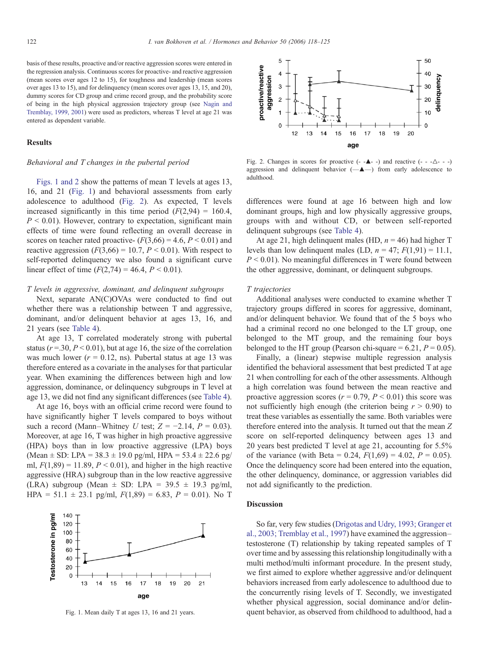basis of these results, proactive and/or reactive aggression scores were entered in the regression analysis. Continuous scores for proactive- and reactive aggression (mean scores over ages 12 to 15), for toughness and leadership (mean scores over ages 13 to 15), and for delinquency (mean scores over ages 13, 15, and 20), dummy scores for CD group and crime record group, and the probability score of being in the high physical aggression trajectory group (see [Nagin and](#page-6-0) [Tremblay, 1999, 2001](#page-6-0)) were used as predictors, whereas T level at age 21 was entered as dependent variable.

## Results

# Behavioral and T changes in the pubertal period

Figs. 1 and 2 show the patterns of mean T levels at ages 13, 16, and 21 (Fig. 1) and behavioral assessments from early adolescence to adulthood (Fig. 2). As expected, T levels increased significantly in this time period  $(F(2,94) = 160.4,$  $P < 0.01$ ). However, contrary to expectation, significant main effects of time were found reflecting an overall decrease in scores on teacher rated proactive-  $(F(3,66) = 4.6, P < 0.01)$  and reactive aggression  $(F(3,66) = 10.7, P < 0.01)$ . With respect to self-reported delinquency we also found a significant curve linear effect of time  $(F(2,74) = 46.4, P < 0.01)$ .

## T levels in aggressive, dominant, and delinquent subgroups

Next, separate AN(C)OVAs were conducted to find out whether there was a relationship between T and aggressive, dominant, and/or delinquent behavior at ages 13, 16, and 21 years (see [Table 4](#page-5-0)).

At age 13, T correlated moderately strong with pubertal status ( $r = 0.30$ ,  $P < 0.01$ ), but at age 16, the size of the correlation was much lower ( $r = 0.12$ , ns). Pubertal status at age 13 was therefore entered as a covariate in the analyses for that particular year. When examining the differences between high and low aggression, dominance, or delinquency subgroups in T level at age 13, we did not find any significant differences (see [Table 4](#page-5-0)).

At age 16, boys with an official crime record were found to have significantly higher T levels compared to boys without such a record (Mann–Whitney U test;  $Z = -2.14$ ,  $P = 0.03$ ). Moreover, at age 16, T was higher in high proactive aggressive (HPA) boys than in low proactive aggressive (LPA) boys (Mean  $\pm$  SD: LPA = 38.3  $\pm$  19.0 pg/ml, HPA = 53.4  $\pm$  22.6 pg/ ml,  $F(1,89) = 11.89$ ,  $P \le 0.01$ ), and higher in the high reactive aggressive (HRA) subgroup than in the low reactive aggressive (LRA) subgroup (Mean  $\pm$  SD: LPA = 39.5  $\pm$  19.3 pg/ml, HPA = 51.1  $\pm$  23.1 pg/ml,  $F(1,89) = 6.83$ ,  $P = 0.01$ ). No T





Fig. 2. Changes in scores for proactive  $(- - \triangle - -)$  and reactive  $(- - \triangle - -)$ aggression and delinquent behavior (—▴—) from early adolescence to adulthood.

differences were found at age 16 between high and low dominant groups, high and low physically aggressive groups, groups with and without CD, or between self-reported delinquent subgroups (see [Table 4\)](#page-5-0).

At age 21, high delinquent males (HD,  $n = 46$ ) had higher T levels than low delinquent males (LD,  $n = 47$ ;  $F(1,91) = 11.1$ ,  $P \le 0.01$ ). No meaningful differences in T were found between the other aggressive, dominant, or delinquent subgroups.

# T trajectories

Additional analyses were conducted to examine whether T trajectory groups differed in scores for aggressive, dominant, and/or delinquent behavior. We found that of the 5 boys who had a criminal record no one belonged to the LT group, one belonged to the MT group, and the remaining four boys belonged to the HT group (Pearson chi-square  $= 6.21, P = 0.05$ ).

Finally, a (linear) stepwise multiple regression analysis identified the behavioral assessment that best predicted T at age 21 when controlling for each of the other assessments. Although a high correlation was found between the mean reactive and proactive aggression scores ( $r = 0.79$ ,  $P \le 0.01$ ) this score was not sufficiently high enough (the criterion being  $r > 0.90$ ) to treat these variables as essentially the same. Both variables were therefore entered into the analysis. It turned out that the mean Z score on self-reported delinquency between ages 13 and 20 years best predicted T level at age 21, accounting for 5.5% of the variance (with Beta = 0.24,  $F(1,69) = 4.02$ ,  $P = 0.05$ ). Once the delinquency score had been entered into the equation, the other delinquency, dominance, or aggression variables did not add significantly to the prediction.

# Discussion

So far, very few studies [\(Drigotas and Udry, 1993; Granger et](#page-6-0) [al., 2003; Tremblay et al., 1997\)](#page-6-0) have examined the aggression– testosterone (T) relationship by taking repeated samples of T over time and by assessing this relationship longitudinally with a multi method/multi informant procedure. In the present study, we first aimed to explore whether aggressive and/or delinquent behaviors increased from early adolescence to adulthood due to the concurrently rising levels of T. Secondly, we investigated whether physical aggression, social dominance and/or delin-Fig. 1. Mean daily T at ages 13, 16 and 21 years. quent behavior, as observed from childhood to adulthood, had a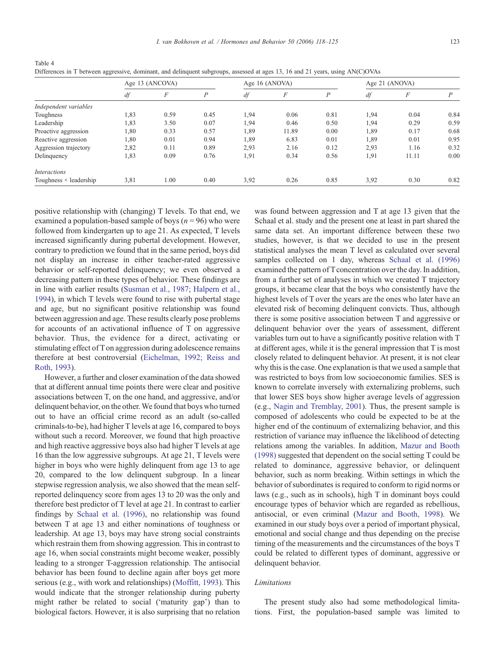I. van Bokhoven et al. / Hormones and Behavior 50 (2006)  $118-125$  123

<span id="page-5-0"></span>

| Table 4                                                                                                                        |
|--------------------------------------------------------------------------------------------------------------------------------|
| Differences in T between aggressive, dominant, and delinquent subgroups, assessed at ages 13, 16 and 21 years, using AN(C)OVAs |

|                               | Age 13 (ANCOVA) |                  |      | Age 16 (ANOVA) |       |      | Age 21 (ANOVA) |          |      |
|-------------------------------|-----------------|------------------|------|----------------|-------|------|----------------|----------|------|
|                               | df              | $\boldsymbol{F}$ | P    | df             | F     | Р    | df             | $\cal F$ | D    |
| Independent variables         |                 |                  |      |                |       |      |                |          |      |
| Toughness                     | 1,83            | 0.59             | 0.45 | 1,94           | 0.06  | 0.81 | 1,94           | 0.04     | 0.84 |
| Leadership                    | 1,83            | 3.50             | 0.07 | 1,94           | 0.46  | 0.50 | 1,94           | 0.29     | 0.59 |
| Proactive aggression          | 1,80            | 0.33             | 0.57 | 1,89           | 11.89 | 0.00 | 1,89           | 0.17     | 0.68 |
| Reactive aggression           | 1,80            | 0.01             | 0.94 | 1,89           | 6.83  | 0.01 | 1,89           | 0.01     | 0.95 |
| Aggression trajectory         | 2,82            | 0.11             | 0.89 | 2,93           | 2.16  | 0.12 | 2,93           | 1.16     | 0.32 |
| Delinquency                   | 1,83            | 0.09             | 0.76 | 1,91           | 0.34  | 0.56 | 1,91           | 11.11    | 0.00 |
| <i>Interactions</i>           |                 |                  |      |                |       |      |                |          |      |
| Toughness $\times$ leadership | 3,81            | 1.00             | 0.40 | 3,92           | 0.26  | 0.85 | 3,92           | 0.30     | 0.82 |

positive relationship with (changing) T levels. To that end, we examined a population-based sample of boys ( $n = 96$ ) who were followed from kindergarten up to age 21. As expected, T levels increased significantly during pubertal development. However, contrary to prediction we found that in the same period, boys did not display an increase in either teacher-rated aggressive behavior or self-reported delinquency; we even observed a decreasing pattern in these types of behavior. These findings are in line with earlier results [\(Susman et al., 1987; Halpern et al.,](#page-7-0) [1994](#page-7-0)), in which T levels were found to rise with pubertal stage and age, but no significant positive relationship was found between aggression and age. These results clearly pose problems for accounts of an activational influence of T on aggressive behavior. Thus, the evidence for a direct, activating or stimulating effect of T on aggression during adolescence remains therefore at best controversial ([Eichelman, 1992; Reiss and](#page-6-0) [Roth, 1993](#page-6-0)).

However, a further and closer examination of the data showed that at different annual time points there were clear and positive associations between T, on the one hand, and aggressive, and/or delinquent behavior, on the other. We found that boys who turned out to have an official crime record as an adult (so-called criminals-to-be), had higher T levels at age 16, compared to boys without such a record. Moreover, we found that high proactive and high reactive aggressive boys also had higher T levels at age 16 than the low aggressive subgroups. At age 21, T levels were higher in boys who were highly delinquent from age 13 to age 20, compared to the low delinquent subgroup. In a linear stepwise regression analysis, we also showed that the mean selfreported delinquency score from ages 13 to 20 was the only and therefore best predictor of T level at age 21. In contrast to earlier findings by [Schaal et al. \(1996\)](#page-7-0), no relationship was found between T at age 13 and either nominations of toughness or leadership. At age 13, boys may have strong social constraints which restrain them from showing aggression. This in contrast to age 16, when social constraints might become weaker, possibly leading to a stronger T-aggression relationship. The antisocial behavior has been found to decline again after boys get more serious (e.g., with work and relationships) ([Moffitt, 1993\)](#page-6-0). This would indicate that the stronger relationship during puberty might rather be related to social ('maturity gap') than to biological factors. However, it is also surprising that no relation

was found between aggression and T at age 13 given that the Schaal et al. study and the present one at least in part shared the same data set. An important difference between these two studies, however, is that we decided to use in the present statistical analyses the mean T level as calculated over several samples collected on 1 day, whereas [Schaal et al. \(1996\)](#page-7-0) examined the pattern of T concentration over the day. In addition, from a further set of analyses in which we created T trajectory groups, it became clear that the boys who consistently have the highest levels of T over the years are the ones who later have an elevated risk of becoming delinquent convicts. Thus, although there is some positive association between T and aggressive or delinquent behavior over the years of assessment, different variables turn out to have a significantly positive relation with T at different ages, while it is the general impression that T is most closely related to delinquent behavior. At present, it is not clear why this is the case. One explanation is that we used a sample that was restricted to boys from low socioeconomic families. SES is known to correlate inversely with externalizing problems, such that lower SES boys show higher average levels of aggression (e.g., [Nagin and Tremblay, 2001](#page-6-0)). Thus, the present sample is composed of adolescents who could be expected to be at the higher end of the continuum of externalizing behavior, and this restriction of variance may influence the likelihood of detecting relations among the variables. In addition, [Mazur and Booth](#page-6-0) [\(1998\)](#page-6-0) suggested that dependent on the social setting T could be related to dominance, aggressive behavior, or delinquent behavior, such as norm breaking. Within settings in which the behavior of subordinates is required to conform to rigid norms or laws (e.g., such as in schools), high T in dominant boys could encourage types of behavior which are regarded as rebellious, antisocial, or even criminal ([Mazur and Booth, 1998\)](#page-6-0). We examined in our study boys over a period of important physical, emotional and social change and thus depending on the precise timing of the measurements and the circumstances of the boys T could be related to different types of dominant, aggressive or delinquent behavior.

# Limitations

The present study also had some methodological limitations. First, the population-based sample was limited to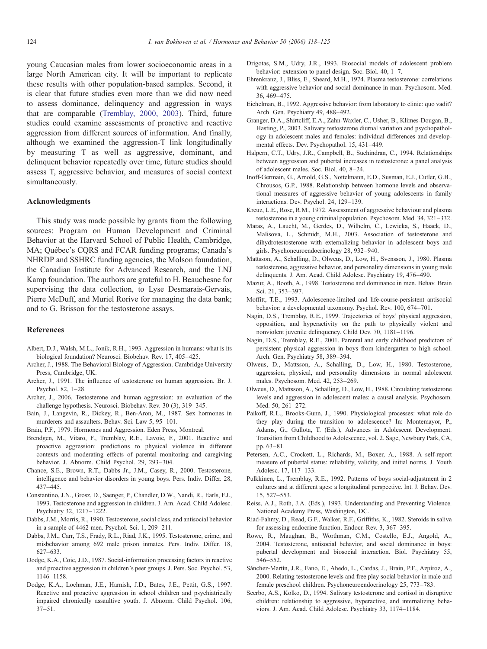<span id="page-6-0"></span>young Caucasian males from lower socioeconomic areas in a large North American city. It will be important to replicate these results with other population-based samples. Second, it is clear that future studies even more than we did now need to assess dominance, delinquency and aggression in ways that are comparable [\(Tremblay, 2000, 2003\)](#page-7-0). Third, future studies could examine assessments of proactive and reactive aggression from different sources of information. And finally, although we examined the aggression-T link longitudinally by measuring T as well as aggressive, dominant, and delinquent behavior repeatedly over time, future studies should assess T, aggressive behavior, and measures of social context simultaneously.

# Acknowledgments

This study was made possible by grants from the following sources: Program on Human Development and Criminal Behavior at the Harvard School of Public Health, Cambridge, MA; Québec's CQRS and FCAR funding programs; Canada's NHRDP and SSHRC funding agencies, the Molson foundation, the Canadian Institute for Advanced Research, and the LNJ Kamp foundation. The authors are grateful to H. Beauchesne for supervising the data collection, to Lyse Desmarais-Gervais, Pierre McDuff, and Muriel Rorive for managing the data bank; and to G. Brisson for the testosterone assays.

# References

- Albert, D.J., Walsh, M.L., Jonik, R.H., 1993. Aggression in humans: what is its biological foundation? Neurosci. Biobehav. Rev. 17, 405–425.
- Archer, J., 1988. The Behavioral Biology of Aggression. Cambridge University Press, Cambridge, UK.
- Archer, J., 1991. The influence of testosterone on human aggression. Br. J. Psychol. 82, 1–28.
- Archer, J., 2006. Testosterone and human aggression: an evaluation of the challenge hypothesis. Neurosci. Biobehav. Rev. 30 (3), 319–345.
- Bain, J., Langevin, R., Dickey, R., Ben-Aron, M., 1987. Sex hormones in murderers and assaulters. Behav. Sci. Law 5, 95–101.
- Brain, P.F., 1979. Hormones and Aggression. Eden Press, Montreal.
- Brendgen, M., Vitaro, F., Tremblay, R.E., Lavoie, F., 2001. Reactive and proactive aggression: predictions to physical violence in different contexts and moderating effects of parental monitoring and caregiving behavior. J. Abnorm. Child Psychol. 29, 293–304.
- Chance, S.E., Brown, R.T., Dabbs Jr., J.M., Casey, R., 2000. Testosterone, intelligence and behavior disorders in young boys. Pers. Indiv. Differ. 28, 437–445.
- Constantino, J.N., Grosz, D., Saenger, P., Chandler, D.W., Nandi, R., Earls, F.J., 1993. Testosterone and aggression in children. J. Am. Acad. Child Adolesc. Psychiatry 32, 1217–1222.
- Dabbs, J.M., Morris, R., 1990. Testosterone, social class, and antisocial behavior in a sample of 4462 men. Psychol. Sci. 1, 209–211.
- Dabbs, J.M., Carr, T.S., Frady, R.L., Riad, J.K., 1995. Testosterone, crime, and misbehavior among 692 male prison inmates. Pers. Indiv. Differ. 18, 627–633.
- Dodge, K.A., Coie, J.D., 1987. Social-information processing factors in reactive and proactive aggression in children's peer groups. J. Pers. Soc. Psychol. 53, 1146–1158.
- Dodge, K.A., Lochman, J.E., Harnish, J.D., Bates, J.E., Pettit, G.S., 1997. Reactive and proactive aggression in school children and psychiatrically impaired chronically assaultive youth. J. Abnorm. Child Psychol. 106, 37–51.
- Drigotas, S.M., Udry, J.R., 1993. Biosocial models of adolescent problem behavior: extension to panel design. Soc. Biol. 40, 1–7.
- Ehrenkranz, J., Bliss, E., Sheard, M.H., 1974. Plasma testosterone: correlations with aggressive behavior and social dominance in man. Psychosom. Med. 36, 469–475.
- Eichelman, B., 1992. Aggressive behavior: from laboratory to clinic: quo vadit? Arch. Gen. Psychiatry 49, 488–492.
- Granger, D.A., Shirtcliff, E.A., Zahn-Waxler, C., Usher, B., Klimes-Dougan, B., Hasting, P., 2003. Salivary testosterone diurnal variation and psychopathology in adolescent males and females: individual differences and developmental effects. Dev. Psychopathol. 15, 431–449.
- Halpern, C.T., Udry, J.R., Campbell, B., Suchindran, C., 1994. Relationships between aggression and pubertal increases in testosterone: a panel analysis of adolescent males. Soc. Biol. 40, 8–24.
- Inoff-Germain, G., Arnold, G.S., Nottelmann, E.D., Susman, E.J., Cutler, G.B., Chrousos, G.P., 1988. Relationship between hormone levels and observational measures of aggressive behavior of young adolescents in family interactions. Dev. Psychol. 24, 129–139.
- Kreuz, L.E., Rose, R.M., 1972. Assessment of aggressive behaviour and plasma testosterone in a young criminal population. Psychosom. Med. 34, 321–332.
- Maras, A., Laucht, M., Gerdes, D., Wilhelm, C., Lewicka, S., Haack, D., Malisova, L., Schmidt, M.H., 2003. Association of testosterone and dihydrotestosterone with externalizing behavior in adolescent boys and girls. Psychoneuroendocrinology 28, 932–940.
- Mattsson, A., Schalling, D., Olweus, D., Low, H., Svensson, J., 1980. Plasma testosterone, aggressive behavior, and personality dimensions in young male delinquents. J. Am. Acad. Child Adolesc. Psychiatry 19, 476–490.
- Mazur, A., Booth, A., 1998. Testosterone and dominance in men. Behav. Brain Sci. 21, 353–397.
- Moffitt, T.E., 1993. Adolescence-limited and life-course-persistent antisocial behavior: a developmental taxonomy. Psychol. Rev. 100, 674–701.
- Nagin, D.S., Tremblay, R.E., 1999. Trajectories of boys' physical aggression, opposition, and hyperactivity on the path to physically violent and nonviolent juvenile delinquency. Child Dev. 70, 1181–1196.
- Nagin, D.S., Tremblay, R.E., 2001. Parental and early childhood predictors of persistent physical aggression in boys from kindergarten to high school. Arch. Gen. Psychiatry 58, 389–394.
- Olweus, D., Mattsson, A., Schalling, D., Low, H., 1980. Testosterone, aggression, physical, and personality dimensions in normal adolescent males. Psychosom. Med. 42, 253–269.
- Olweus, D., Mattsson, A., Schalling, D., Low, H., 1988. Circulating testosterone levels and aggression in adolescent males: a causal analysis. Psychosom. Med. 50, 261–272.
- Paikoff, R.L., Brooks-Gunn, J., 1990. Physiological processes: what role do they play during the transition to adolescence? In: Montemayor, P., Adams, G., Gullota, T. (Eds.), Advances in Adolescent Development. Transition from Childhood to Adolescence, vol. 2. Sage, Newbury Park, CA, pp. 63–81.
- Petersen, A.C., Crockett, L., Richards, M., Boxer, A., 1988. A self-report measure of pubertal status: reliability, validity, and initial norms. J. Youth Adolesc. 17, 117–133.
- Pulkkinen, L., Tremblay, R.E., 1992. Patterns of boys social-adjustment in 2 cultures and at different ages: a longitudinal perspective. Int. J. Behav. Dev. 15, 527–553.
- Reiss, A.J., Roth, J.A. (Eds.), 1993. Understanding and Preventing Violence. National Academy Press, Washington, DC.
- Riad-Fahmy, D., Read, G.F., Walker, R.F., Griffiths, K., 1982. Steroids in saliva for assessing endocrine function. Endocr. Rev. 3, 367–395.
- Rowe, R., Maughan, B., Worthman, C.M., Costello, E.J., Angold, A., 2004. Testosterone, antisocial behavior, and social dominance in boys: pubertal development and biosocial interaction. Biol. Psychiatry 55, 546–552.
- Sánchez-Martín, J.R., Fano, E., Ahedo, L., Cardas, J., Brain, P.F., Azpíroz, A., 2000. Relating testosterone levels and free play social behavior in male and female preschool children. Psychoneuroendocrinology 25, 773–783.
- Scerbo, A.S., Kolko, D., 1994. Salivary testosterone and cortisol in disruptive children: relationship to aggressive, hyperactive, and internalizing behaviors. J. Am. Acad. Child Adolesc. Psychiatry 33, 1174–1184.